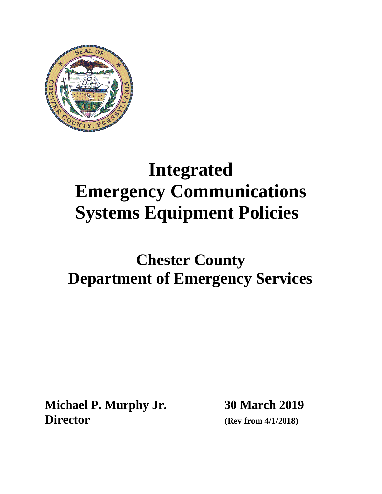

# **Integrated Emergency Communications Systems Equipment Policies**

# **Chester County Department of Emergency Services**

**Michael P. Murphy Jr. 30 March 2019 Director (Rev from 4/1/2018)**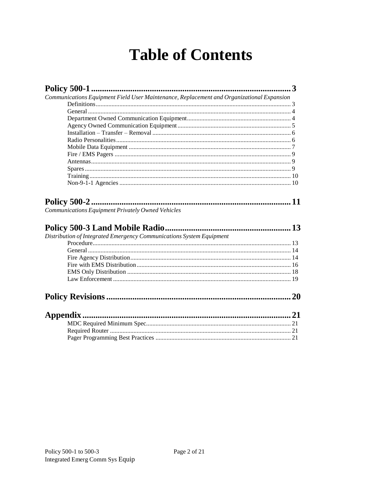# **Table of Contents**

| Communications Equipment Field User Maintenance, Replacement and Organizational Expansion |    |
|-------------------------------------------------------------------------------------------|----|
|                                                                                           |    |
|                                                                                           |    |
|                                                                                           |    |
|                                                                                           |    |
|                                                                                           |    |
|                                                                                           |    |
|                                                                                           |    |
|                                                                                           |    |
|                                                                                           |    |
|                                                                                           |    |
|                                                                                           |    |
|                                                                                           |    |
| Communications Equipment Privately Owned Vehicles                                         |    |
| Distribution of Integrated Emergency Communications System Equipment                      |    |
|                                                                                           | 20 |
| Appendix.                                                                                 |    |
|                                                                                           |    |
|                                                                                           |    |
|                                                                                           |    |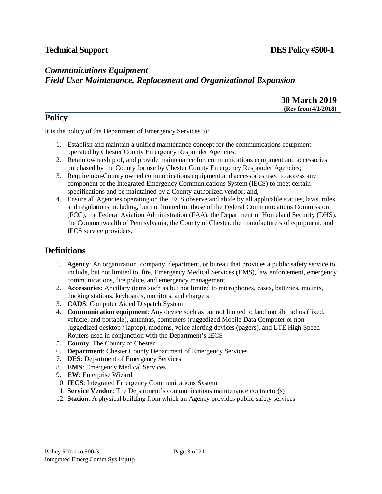# **Technical Support DES Policy #500-1**

# *Communications Equipment*

# *Field User Maintenance, Replacement and Organizational Expansion*

### **30 March 2019 (Rev from 4/1/2018)**

# **Policy**

It is the policy of the Department of Emergency Services to:

- 1. Establish and maintain a unified maintenance concept for the communications equipment operated by Chester County Emergency Responder Agencies;
- 2. Retain ownership of, and provide maintenance for, communications equipment and accessories purchased by the County for use by Chester County Emergency Responder Agencies;
- 3. Require non-County owned communications equipment and accessories used to access any component of the Integrated Emergency Communications System (IECS) to meet certain specifications and be maintained by a County-authorized vendor; and,
- 4. Ensure all Agencies operating on the IECS observe and abide by all applicable statues, laws, rules and regulations including, but not limited to, those of the Federal Communications Commission (FCC), the Federal Aviation Administration (FAA), the Department of Homeland Security (DHS), the Commonwealth of Pennsylvania, the County of Chester, the manufacturers of equipment, and IECS service providers.

# <span id="page-2-0"></span>**Definitions**

- 1. **Agency**: An organization, company, department, or bureau that provides a public safety service to include, but not limited to, fire, Emergency Medical Services (EMS), law enforcement, emergency communications, fire police, and emergency management
- 2. **Accessories**: Ancillary items such as but not limited to microphones, cases, batteries, mounts, docking stations, keyboards, monitors, and chargers
- 3. **CADS**: Computer Aided Dispatch System
- 4. **Communication equipment**: Any device such as but not limited to land mobile radios (fixed, vehicle, and portable), antennas, computers (ruggedized Mobile Data Computer or nonruggedized desktop / laptop), modems, voice alerting devices (pagers), and LTE High Speed Routers used in conjunction with the Department's IECS
- 5. **County**: The County of Chester
- 6. **Department**: Chester County Department of Emergency Services
- 7. **DES**: Department of Emergency Services
- 8. **EMS**: Emergency Medical Services
- 9. **EW**: Enterprise Wizard
- 10. **IECS**: Integrated Emergency Communications System
- 11. **Service Vendor**: The Department's communications maintenance contractor(s)
- 12. **Station**: A physical building from which an Agency provides public safety services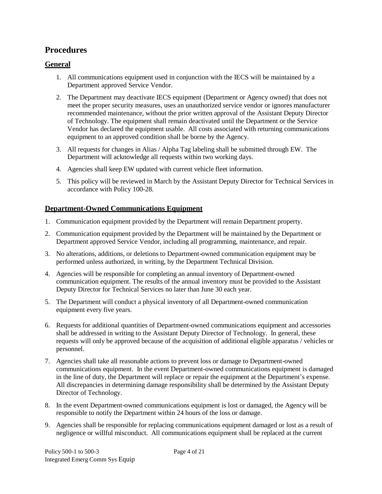# **Procedures**

### <span id="page-3-0"></span>**General**

- 1. All communications equipment used in conjunction with the IECS will be maintained by a Department approved Service Vendor.
- 2. The Department may deactivate IECS equipment (Department or Agency owned) that does not meet the proper security measures, uses an unauthorized service vendor or ignores manufacturer recommended maintenance, without the prior written approval of the Assistant Deputy Director of Technology. The equipment shall remain deactivated until the Department or the Service Vendor has declared the equipment usable. All costs associated with returning communications equipment to an approved condition shall be borne by the Agency.
- 3. All requests for changes in Alias / Alpha Tag labeling shall be submitted through EW. The Department will acknowledge all requests within two working days.
- 4. Agencies shall keep EW updated with current vehicle fleet information.
- 5. This policy will be reviewed in March by the Assistant Deputy Director for Technical Services in accordance with Policy 100-28.

### **Department-Owned Communications Equipment**

- 1. Communication equipment provided by the Department will remain Department property.
- 2. Communication equipment provided by the Department will be maintained by the Department or Department approved Service Vendor, including all programming, maintenance, and repair.
- 3. No alterations, additions, or deletions to Department-owned communication equipment may be performed unless authorized, in writing, by the Department Technical Division.
- 4. Agencies will be responsible for completing an annual inventory of Department-owned communication equipment. The results of the annual inventory must be provided to the Assistant Deputy Director for Technical Services no later than June 30 each year.
- 5. The Department will conduct a physical inventory of all Department-owned communication equipment every five years.
- 6. Requests for additional quantities of Department-owned communications equipment and accessories shall be addressed in writing to the Assistant Deputy Director of Technology. In general, these requests will only be approved because of the acquisition of additional eligible apparatus / vehicles or personnel.
- 7. Agencies shall take all reasonable actions to prevent loss or damage to Department-owned communications equipment. In the event Department-owned communications equipment is damaged in the line of duty, the Department will replace or repair the equipment at the Department's expense. All discrepancies in determining damage responsibility shall be determined by the Assistant Deputy Director of Technology.
- 8. In the event Department-owned communications equipment is lost or damaged, the Agency will be responsible to notify the Department within 24 hours of the loss or damage.
- 9. Agencies shall be responsible for replacing communications equipment damaged or lost as a result of negligence or willful misconduct. All communications equipment shall be replaced at the current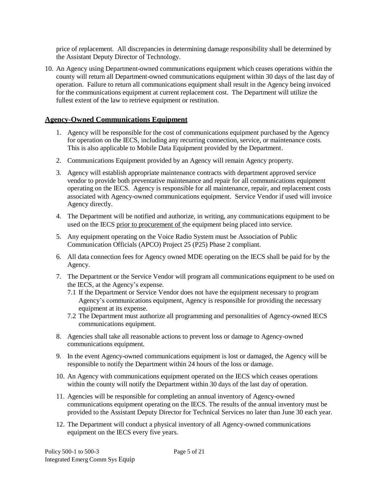price of replacement. All discrepancies in determining damage responsibility shall be determined by the Assistant Deputy Director of Technology.

10. An Agency using Department-owned communications equipment which ceases operations within the county will return all Department-owned communications equipment within 30 days of the last day of operation. Failure to return all communications equipment shall result in the Agency being invoiced for the communications equipment at current replacement cost. The Department will utilize the fullest extent of the law to retrieve equipment or restitution.

### **Agency-Owned Communications Equipment**

- 1. Agency will be responsible for the cost of communications equipment purchased by the Agency for operation on the IECS, including any recurring connection, service, or maintenance costs. This is also applicable to Mobile Data Equipment provided by the Department.
- 2. Communications Equipment provided by an Agency will remain Agency property.
- 3. Agency will establish appropriate maintenance contracts with department approved service vendor to provide both preventative maintenance and repair for all communications equipment operating on the IECS. Agency is responsible for all maintenance, repair, and replacement costs associated with Agency-owned communications equipment. Service Vendor if used will invoice Agency directly.
- 4. The Department will be notified and authorize, in writing, any communications equipment to be used on the IECS prior to procurement of the equipment being placed into service.
- 5. Any equipment operating on the Voice Radio System must be Association of Public Communication Officials (APCO) Project 25 (P25) Phase 2 compliant.
- 6. All data connection fees for Agency owned MDE operating on the IECS shall be paid for by the Agency.
- 7. The Department or the Service Vendor will program all communications equipment to be used on the IECS, at the Agency's expense.
	- 7.1 If the Department or Service Vendor does not have the equipment necessary to program Agency's communications equipment, Agency is responsible for providing the necessary equipment at its expense.
	- 7.2 The Department must authorize all programming and personalities of Agency-owned IECS communications equipment.
- 8. Agencies shall take all reasonable actions to prevent loss or damage to Agency-owned communications equipment.
- 9. In the event Agency-owned communications equipment is lost or damaged, the Agency will be responsible to notify the Department within 24 hours of the loss or damage.
- 10. An Agency with communications equipment operated on the IECS which ceases operations within the county will notify the Department within 30 days of the last day of operation.
- 11. Agencies will be responsible for completing an annual inventory of Agency-owned communications equipment operating on the IECS. The results of the annual inventory must be provided to the Assistant Deputy Director for Technical Services no later than June 30 each year.
- 12. The Department will conduct a physical inventory of all Agency-owned communications equipment on the IECS every five years.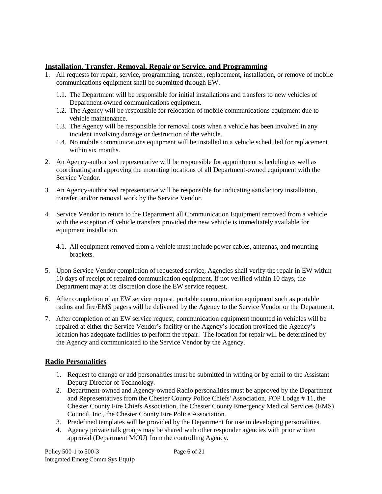### **Installation, Transfer, Removal, Repair or Service, and Programming**

- 1. All requests for repair, service, programming, transfer, replacement, installation, or remove of mobile communications equipment shall be submitted through EW.
	- 1.1. The Department will be responsible for initial installations and transfers to new vehicles of Department-owned communications equipment.
	- 1.2. The Agency will be responsible for relocation of mobile communications equipment due to vehicle maintenance.
	- 1.3. The Agency will be responsible for removal costs when a vehicle has been involved in any incident involving damage or destruction of the vehicle.
	- 1.4. No mobile communications equipment will be installed in a vehicle scheduled for replacement within six months.
- 2. An Agency-authorized representative will be responsible for appointment scheduling as well as coordinating and approving the mounting locations of all Department-owned equipment with the Service Vendor.
- 3. An Agency-authorized representative will be responsible for indicating satisfactory installation, transfer, and/or removal work by the Service Vendor.
- 4. Service Vendor to return to the Department all Communication Equipment removed from a vehicle with the exception of vehicle transfers provided the new vehicle is immediately available for equipment installation.
	- 4.1. All equipment removed from a vehicle must include power cables, antennas, and mounting brackets.
- 5. Upon Service Vendor completion of requested service, Agencies shall verify the repair in EW within 10 days of receipt of repaired communication equipment. If not verified within 10 days, the Department may at its discretion close the EW service request.
- 6. After completion of an EW service request, portable communication equipment such as portable radios and fire/EMS pagers will be delivered by the Agency to the Service Vendor or the Department.
- 7. After completion of an EW service request, communication equipment mounted in vehicles will be repaired at either the Service Vendor's facility or the Agency's location provided the Agency's location has adequate facilities to perform the repair. The location for repair will be determined by the Agency and communicated to the Service Vendor by the Agency.

### <span id="page-5-0"></span>**Radio Personalities**

- 1. Request to change or add personalities must be submitted in writing or by email to the Assistant Deputy Director of Technology.
- 2. Department-owned and Agency-owned Radio personalities must be approved by the Department and Representatives from the Chester County Police Chiefs' Association, FOP Lodge # 11, the Chester County Fire Chiefs Association, the Chester County Emergency Medical Services (EMS) Council, Inc., the Chester County Fire Police Association.
- 3. Predefined templates will be provided by the Department for use in developing personalities.
- 4. Agency private talk groups may be shared with other responder agencies with prior written approval (Department MOU) from the controlling Agency.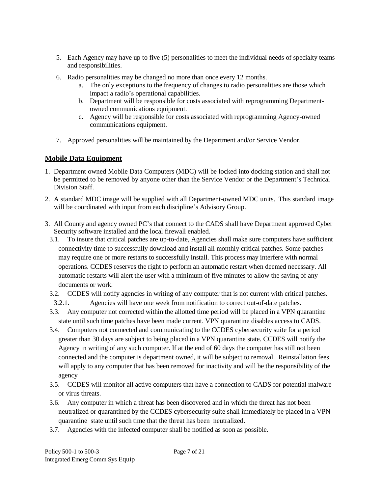- 5. Each Agency may have up to five (5) personalities to meet the individual needs of specialty teams and responsibilities.
- 6. Radio personalities may be changed no more than once every 12 months.
	- a. The only exceptions to the frequency of changes to radio personalities are those which impact a radio's operational capabilities.
	- b. Department will be responsible for costs associated with reprogramming Departmentowned communications equipment.
	- c. Agency will be responsible for costs associated with reprogramming Agency-owned communications equipment.
- 7. Approved personalities will be maintained by the Department and/or Service Vendor.

### <span id="page-6-0"></span>**Mobile Data Equipment**

- 1. Department owned Mobile Data Computers (MDC) will be locked into docking station and shall not be permitted to be removed by anyone other than the Service Vendor or the Department's Technical Division Staff.
- 2. A standard MDC image will be supplied with all Department-owned MDC units. This standard image will be coordinated with input from each discipline's Advisory Group.
- 3. All County and agency owned PC's that connect to the CADS shall have Department approved Cyber Security software installed and the local firewall enabled.
	- 3.1. To insure that critical patches are up-to-date, Agencies shall make sure computers have sufficient connectivity time to successfully download and install all monthly critical patches. Some patches may require one or more restarts to successfully install. This process may interfere with normal operations. CCDES reserves the right to perform an automatic restart when deemed necessary. All automatic restarts will alert the user with a minimum of five minutes to allow the saving of any documents or work.
	- 3.2. CCDES will notify agencies in writing of any computer that is not current with critical patches.
	- 3.2.1. Agencies will have one week from notification to correct out-of-date patches.
	- 3.3. Any computer not corrected within the allotted time period will be placed in a VPN quarantine state until such time patches have been made current. VPN quarantine disables access to CADS.
	- 3.4. Computers not connected and communicating to the CCDES cybersecurity suite for a period greater than 30 days are subject to being placed in a VPN quarantine state. CCDES will notify the Agency in writing of any such computer. If at the end of 60 days the computer has still not been connected and the computer is department owned, it will be subject to removal. Reinstallation fees will apply to any computer that has been removed for inactivity and will be the responsibility of the agency
	- 3.5. CCDES will monitor all active computers that have a connection to CADS for potential malware or virus threats.
	- 3.6. Any computer in which a threat has been discovered and in which the threat has not been neutralized or quarantined by the CCDES cybersecurity suite shall immediately be placed in a VPN quarantine state until such time that the threat has been neutralized.
	- 3.7. Agencies with the infected computer shall be notified as soon as possible.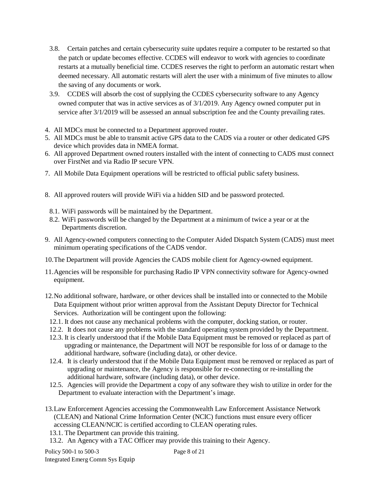- 3.8. Certain patches and certain cybersecurity suite updates require a computer to be restarted so that the patch or update becomes effective. CCDES will endeavor to work with agencies to coordinate restarts at a mutually beneficial time. CCDES reserves the right to perform an automatic restart when deemed necessary. All automatic restarts will alert the user with a minimum of five minutes to allow the saving of any documents or work.
- 3.9. CCDES will absorb the cost of supplying the CCDES cybersecurity software to any Agency owned computer that was in active services as of 3/1/2019. Any Agency owned computer put in service after 3/1/2019 will be assessed an annual subscription fee and the County prevailing rates.
- 4. All MDCs must be connected to a Department approved router.
- 5. All MDCs must be able to transmit active GPS data to the CADS via a router or other dedicated GPS device which provides data in NMEA format.
- 6. All approved Department owned routers installed with the intent of connecting to CADS must connect over FirstNet and via Radio IP secure VPN.
- 7. All Mobile Data Equipment operations will be restricted to official public safety business.
- 8. All approved routers will provide WiFi via a hidden SID and be password protected.
	- 8.1. WiFi passwords will be maintained by the Department.
	- 8.2. WiFi passwords will be changed by the Department at a minimum of twice a year or at the Departments discretion.
- 9. All Agency-owned computers connecting to the Computer Aided Dispatch System (CADS) must meet minimum operating specifications of the CADS vendor.
- 10.The Department will provide Agencies the CADS mobile client for Agency-owned equipment.
- 11.Agencies will be responsible for purchasing Radio IP VPN connectivity software for Agency-owned equipment.
- 12.No additional software, hardware, or other devices shall be installed into or connected to the Mobile Data Equipment without prior written approval from the Assistant Deputy Director for Technical Services. Authorization will be contingent upon the following:
- 12.1. It does not cause any mechanical problems with the computer, docking station, or router.
- 12.2. It does not cause any problems with the standard operating system provided by the Department.
- 12.3. It is clearly understood that if the Mobile Data Equipment must be removed or replaced as part of upgrading or maintenance, the Department will NOT be responsible for loss of or damage to the additional hardware, software (including data), or other device.
- 12.4. It is clearly understood that if the Mobile Data Equipment must be removed or replaced as part of upgrading or maintenance, the Agency is responsible for re-connecting or re-installing the additional hardware, software (including data), or other device.
- 12.5. Agencies will provide the Department a copy of any software they wish to utilize in order for the Department to evaluate interaction with the Department's image.
- 13.Law Enforcement Agencies accessing the Commonwealth Law Enforcement Assistance Network (CLEAN) and National Crime Information Center (NCIC) functions must ensure every officer accessing CLEAN/NCIC is certified according to CLEAN operating rules.
- 13.1. The Department can provide this training.
- 13.2. An Agency with a TAC Officer may provide this training to their Agency.

Policy 500-1 to 500-3 Integrated Emerg Comm Sys Equip

Page 8 of 21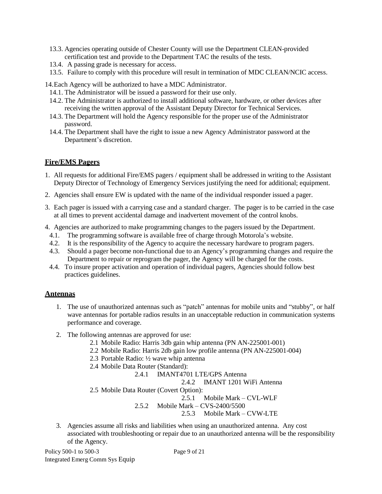- 13.3. Agencies operating outside of Chester County will use the Department CLEAN-provided certification test and provide to the Department TAC the results of the tests.
- 13.4. A passing grade is necessary for access.
- 13.5. Failure to comply with this procedure will result in termination of MDC CLEAN/NCIC access.

14.Each Agency will be authorized to have a MDC Administrator.

- 14.1. The Administrator will be issued a password for their use only.
- 14.2. The Administrator is authorized to install additional software, hardware, or other devices after receiving the written approval of the Assistant Deputy Director for Technical Services.
- 14.3. The Department will hold the Agency responsible for the proper use of the Administrator password.
- 14.4. The Department shall have the right to issue a new Agency Administrator password at the Department's discretion.

### <span id="page-8-0"></span>**Fire/EMS Pagers**

- 1. All requests for additional Fire/EMS pagers / equipment shall be addressed in writing to the Assistant Deputy Director of Technology of Emergency Services justifying the need for additional; equipment.
- 2. Agencies shall ensure EW is updated with the name of the individual responder issued a pager.
- 3. Each pager is issued with a carrying case and a standard charger. The pager is to be carried in the case at all times to prevent accidental damage and inadvertent movement of the control knobs.
- 4. Agencies are authorized to make programming changes to the pagers issued by the Department.
- 4.1. The programming software is available free of charge through Motorola's website.
- 4.2. It is the responsibility of the Agency to acquire the necessary hardware to program pagers.
- 4.3. Should a pager become non-functional due to an Agency's programming changes and require the Department to repair or reprogram the pager, the Agency will be charged for the costs.
- 4.4. To insure proper activation and operation of individual pagers, Agencies should follow best practices guidelines.

### <span id="page-8-1"></span>**Antennas**

- 1. The use of unauthorized antennas such as "patch" antennas for mobile units and "stubby", or half wave antennas for portable radios results in an unacceptable reduction in communication systems performance and coverage.
- 2. The following antennas are approved for use:
	- 2.1 Mobile Radio: Harris 3db gain whip antenna (PN AN-225001-001)
	- 2.2 Mobile Radio: Harris 2db gain low profile antenna (PN AN-225001-004)
	- 2.3 Portable Radio: ½ wave whip antenna
	- 2.4 Mobile Data Router (Standard):

2.4.1 IMANT4701 LTE/GPS Antenna

2.4.2 IMANT 1201 WiFi Antenna

2.5 Mobile Data Router (Covert Option):

2.5.1 Mobile Mark – CVL-WLF

2.5.2 Mobile Mark – CVS-2400/5500

2.5.3 Mobile Mark – CVW-LTE

3. Agencies assume all risks and liabilities when using an unauthorized antenna. Any cost associated with troubleshooting or repair due to an unauthorized antenna will be the responsibility of the Agency.

Policy 500-1 to 500-3 Integrated Emerg Comm Sys Equip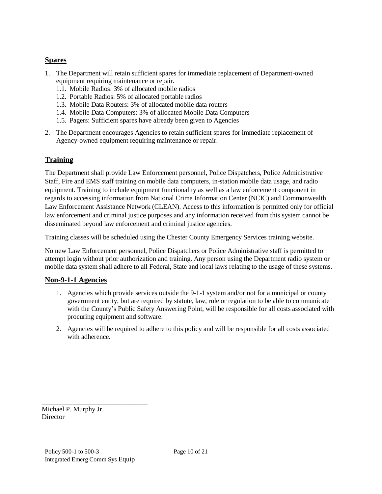### <span id="page-9-0"></span>**Spares**

- 1. The Department will retain sufficient spares for immediate replacement of Department-owned equipment requiring maintenance or repair.
	- 1.1. Mobile Radios: 3% of allocated mobile radios
	- 1.2. Portable Radios: 5% of allocated portable radios
	- 1.3. Mobile Data Routers: 3% of allocated mobile data routers
	- 1.4. Mobile Data Computers: 3% of allocated Mobile Data Computers
	- 1.5. Pagers: Sufficient spares have already been given to Agencies
- 2. The Department encourages Agencies to retain sufficient spares for immediate replacement of Agency-owned equipment requiring maintenance or repair.

### <span id="page-9-1"></span>**Training**

The Department shall provide Law Enforcement personnel, Police Dispatchers, Police Administrative Staff, Fire and EMS staff training on mobile data computers, in-station mobile data usage, and radio equipment. Training to include equipment functionality as well as a law enforcement component in regards to accessing information from National Crime Information Center (NCIC) and Commonwealth Law Enforcement Assistance Network (CLEAN). Access to this information is permitted only for official law enforcement and criminal justice purposes and any information received from this system cannot be disseminated beyond law enforcement and criminal justice agencies.

Training classes will be scheduled using the Chester County Emergency Services training website.

No new Law Enforcement personnel, Police Dispatchers or Police Administrative staff is permitted to attempt login without prior authorization and training. Any person using the Department radio system or mobile data system shall adhere to all Federal, State and local laws relating to the usage of these systems.

### <span id="page-9-2"></span>**Non-9-1-1 Agencies**

- 1. Agencies which provide services outside the 9-1-1 system and/or not for a municipal or county government entity, but are required by statute, law, rule or regulation to be able to communicate with the County's Public Safety Answering Point, will be responsible for all costs associated with procuring equipment and software.
- 2. Agencies will be required to adhere to this policy and will be responsible for all costs associated with adherence.

\_\_\_\_\_\_\_\_\_\_\_\_\_\_\_\_\_\_\_\_\_\_\_\_\_\_\_\_\_\_\_ Michael P. Murphy Jr. **Director**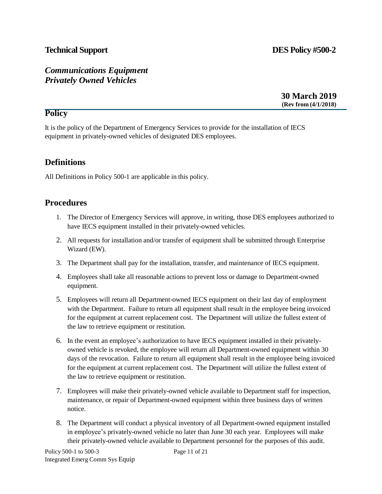# **Technical Support DES Policy #500-2**

# <span id="page-10-0"></span>*Communications Equipment Privately Owned Vehicles*

**30 March 2019 (Rev from (4/1/2018)**

# **Policy**

It is the policy of the Department of Emergency Services to provide for the installation of IECS equipment in privately-owned vehicles of designated DES employees.

# **Definitions**

All Definitions in Policy 500-1 are applicable in this policy.

# **Procedures**

- 1. The Director of Emergency Services will approve, in writing, those DES employees authorized to have IECS equipment installed in their privately-owned vehicles.
- 2. All requests for installation and/or transfer of equipment shall be submitted through Enterprise Wizard (EW).
- 3. The Department shall pay for the installation, transfer, and maintenance of IECS equipment.
- 4. Employees shall take all reasonable actions to prevent loss or damage to Department-owned equipment.
- 5. Employees will return all Department-owned IECS equipment on their last day of employment with the Department. Failure to return all equipment shall result in the employee being invoiced for the equipment at current replacement cost. The Department will utilize the fullest extent of the law to retrieve equipment or restitution.
- 6. In the event an employee's authorization to have IECS equipment installed in their privatelyowned vehicle is revoked, the employee will return all Department-owned equipment within 30 days of the revocation. Failure to return all equipment shall result in the employee being invoiced for the equipment at current replacement cost. The Department will utilize the fullest extent of the law to retrieve equipment or restitution.
- 7. Employees will make their privately-owned vehicle available to Department staff for inspection, maintenance, or repair of Department-owned equipment within three business days of written notice.
- 8. The Department will conduct a physical inventory of all Department-owned equipment installed in employee's privately-owned vehicle no later than June 30 each year. Employees will make their privately-owned vehicle available to Department personnel for the purposes of this audit.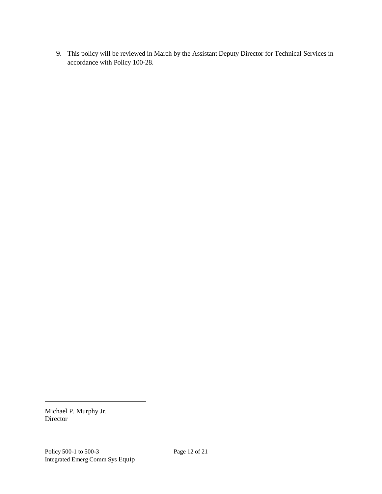9. This policy will be reviewed in March by the Assistant Deputy Director for Technical Services in accordance with Policy 100-28.

Michael P. Murphy Jr. Director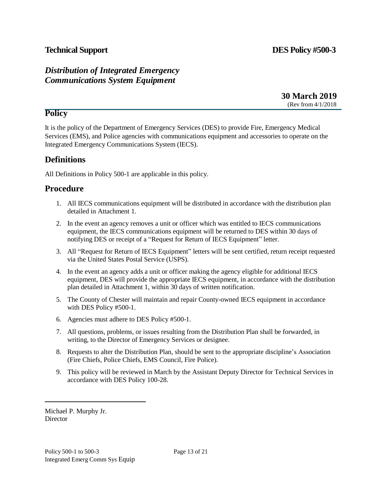## **Technical Support DES Policy #500-3**

# <span id="page-12-0"></span>*Distribution of Integrated Emergency Communications System Equipment*

**30 March 2019** (Rev from 4/1/2018

### **Policy**

It is the policy of the Department of Emergency Services (DES) to provide Fire, Emergency Medical Services (EMS), and Police agencies with communications equipment and accessories to operate on the Integrated Emergency Communications System (IECS).

# **Definitions**

All Definitions in Policy 500-1 are applicable in this policy.

## <span id="page-12-1"></span>**Procedure**

- 1. All IECS communications equipment will be distributed in accordance with the distribution plan detailed in Attachment 1.
- 2. In the event an agency removes a unit or officer which was entitled to IECS communications equipment, the IECS communications equipment will be returned to DES within 30 days of notifying DES or receipt of a "Request for Return of IECS Equipment" letter.
- 3. All "Request for Return of IECS Equipment" letters will be sent certified, return receipt requested via the United States Postal Service (USPS).
- 4. In the event an agency adds a unit or officer making the agency eligible for additional IECS equipment, DES will provide the appropriate IECS equipment, in accordance with the distribution plan detailed in Attachment 1, within 30 days of written notification.
- 5. The County of Chester will maintain and repair County-owned IECS equipment in accordance with DES Policy #500-1.
- 6. Agencies must adhere to DES Policy #500-1.
- 7. All questions, problems, or issues resulting from the Distribution Plan shall be forwarded, in writing, to the Director of Emergency Services or designee.
- 8. Requests to alter the Distribution Plan, should be sent to the appropriate discipline's Association (Fire Chiefs, Police Chiefs, EMS Council, Fire Police).
- 9. This policy will be reviewed in March by the Assistant Deputy Director for Technical Services in accordance with DES Policy 100-28.

Michael P. Murphy Jr. **Director**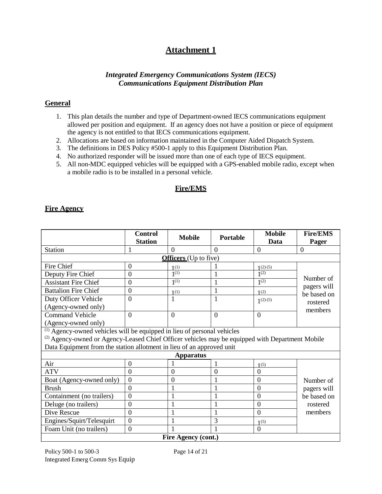# **Attachment 1**

### *Integrated Emergency Communications System (IECS) Communications Equipment Distribution Plan*

### <span id="page-13-0"></span>**General**

- 1. This plan details the number and type of Department-owned IECS communications equipment allowed per position and equipment. If an agency does not have a position or piece of equipment the agency is not entitled to that IECS communications equipment.
- 2. Allocations are based on information maintained in the Computer Aided Dispatch System.
- 3. The definitions in DES Policy #500-1 apply to this Equipment Distribution Plan.
- 4. No authorized responder will be issued more than one of each type of IECS equipment.
- 5. All non-MDC equipped vehicles will be equipped with a GPS-enabled mobile radio, except when a mobile radio is to be installed in a personal vehicle.

### **Fire/EMS**

### **Fire Agency**

|                                                                                                            | <b>Control</b>   | <b>Mobile</b>                | Portable       | <b>Mobile</b>  | <b>Fire/EMS</b> |  |
|------------------------------------------------------------------------------------------------------------|------------------|------------------------------|----------------|----------------|-----------------|--|
|                                                                                                            | <b>Station</b>   |                              |                | Data           | Pager           |  |
| <b>Station</b>                                                                                             |                  | $\Omega$                     | $\Omega$       | $\overline{0}$ | $\theta$        |  |
|                                                                                                            |                  | <b>Officers</b> (Up to five) |                |                |                 |  |
| Fire Chief                                                                                                 | $\mathbf{0}$     | 1(1)                         |                | (2)(5)         |                 |  |
| Deputy Fire Chief                                                                                          | $\mathbf{0}$     | $1^{(1)}$                    |                | $1^{(2)}$      | Number of       |  |
| <b>Assistant Fire Chief</b>                                                                                | $\mathbf{0}$     | $1^{(1)}$                    | 1              | $1^{(2)}$      | pagers will     |  |
| <b>Battalion Fire Chief</b>                                                                                | $\mathbf{0}$     | 1(1)                         | 1              | 1(2)           | be based on     |  |
| Duty Officer Vehicle                                                                                       | $\theta$         |                              | 1              | 1(2)(5)        | rostered        |  |
| (Agency-owned only)                                                                                        |                  |                              |                |                | members         |  |
| <b>Command Vehicle</b>                                                                                     | $\overline{0}$   | $\overline{0}$               | $\overline{0}$ | $\overline{0}$ |                 |  |
| (Agency-owned only)                                                                                        |                  |                              |                |                |                 |  |
| $\overline{^{(1)}}$ Agency-owned vehicles will be equipped in lieu of personal vehicles                    |                  |                              |                |                |                 |  |
| <sup>(2)</sup> Agency-owned or Agency-Leased Chief Officer vehicles may be equipped with Department Mobile |                  |                              |                |                |                 |  |
| Data Equipment from the station allotment in lieu of an approved unit                                      |                  |                              |                |                |                 |  |
|                                                                                                            |                  | <b>Apparatus</b>             |                |                |                 |  |
| Air                                                                                                        | $\mathbf{0}$     |                              |                | 1(5)           |                 |  |
| <b>ATV</b>                                                                                                 | $\overline{0}$   | $\overline{0}$               | $\overline{0}$ | $\overline{0}$ |                 |  |
| Boat (Agency-owned only)                                                                                   | $\overline{0}$   | $\overline{0}$               |                | $\overline{0}$ | Number of       |  |
| <b>Brush</b>                                                                                               | $\mathbf{0}$     | 1                            |                | $\overline{0}$ | pagers will     |  |
| Containment (no trailers)                                                                                  | $\boldsymbol{0}$ |                              |                | $\overline{0}$ | be based on     |  |
| Deluge (no trailers)                                                                                       | $\overline{0}$   |                              |                | $\overline{0}$ | rostered        |  |
| Dive Rescue                                                                                                | $\mathbf{0}$     | $\mathbf{1}$                 |                | $\overline{0}$ | members         |  |
| Engines/Squirt/Telesquirt                                                                                  | $\mathbf{0}$     | 1                            | 3              | 1(5)           |                 |  |
| Foam Unit (no trailers)                                                                                    | $\overline{0}$   |                              |                | $\overline{0}$ |                 |  |
| Fire Agency (cont.)                                                                                        |                  |                              |                |                |                 |  |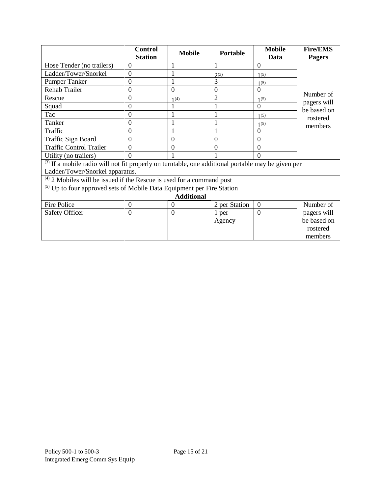|                                                                                                                                            | <b>Control</b><br><b>Station</b> | <b>Mobile</b>  | <b>Portable</b>  | <b>Mobile</b><br>Data | <b>Fire/EMS</b><br><b>Pagers</b> |  |  |
|--------------------------------------------------------------------------------------------------------------------------------------------|----------------------------------|----------------|------------------|-----------------------|----------------------------------|--|--|
| Hose Tender (no trailers)                                                                                                                  | $\overline{0}$                   |                | 1                | $\overline{0}$        |                                  |  |  |
| Ladder/Tower/Snorkel                                                                                                                       | $\overline{0}$                   |                | 2 <sup>(3)</sup> | 1(5)                  |                                  |  |  |
| <b>Pumper Tanker</b>                                                                                                                       | $\mathbf{0}$                     |                | 3                | 1(5)                  |                                  |  |  |
| <b>Rehab Trailer</b>                                                                                                                       | $\overline{0}$                   | $\overline{0}$ | $\overline{0}$   | $\Omega$              |                                  |  |  |
| Rescue                                                                                                                                     | $\mathbf{0}$                     | 1(4)           | $\overline{2}$   | 1(5)                  | Number of                        |  |  |
| Squad                                                                                                                                      | $\overline{0}$                   |                |                  | $\Omega$              | pagers will<br>be based on       |  |  |
| Tac                                                                                                                                        | $\overline{0}$                   |                |                  | 1(5)                  | rostered                         |  |  |
| Tanker                                                                                                                                     | $\overline{0}$                   |                |                  | 1(5)                  | members                          |  |  |
| Traffic                                                                                                                                    | $\overline{0}$                   |                |                  | $\theta$              |                                  |  |  |
| Traffic Sign Board                                                                                                                         | $\mathbf{0}$                     | $\overline{0}$ | $\theta$         | $\overline{0}$        |                                  |  |  |
| <b>Traffic Control Trailer</b>                                                                                                             | $\overline{0}$                   | $\theta$       | $\Omega$         | $\theta$              |                                  |  |  |
| Utility (no trailers)                                                                                                                      | $\theta$                         |                |                  | $\theta$              |                                  |  |  |
| $^{(3)}$ If a mobile radio will not fit properly on turntable, one additional portable may be given per<br>Ladder/Tower/Snorkel apparatus. |                                  |                |                  |                       |                                  |  |  |
| $^{(4)}$ 2 Mobiles will be issued if the Rescue is used for a command post                                                                 |                                  |                |                  |                       |                                  |  |  |
| <sup>(5)</sup> Up to four approved sets of Mobile Data Equipment per Fire Station                                                          |                                  |                |                  |                       |                                  |  |  |
| <b>Additional</b>                                                                                                                          |                                  |                |                  |                       |                                  |  |  |
| Fire Police                                                                                                                                | $\overline{0}$                   | $\Omega$       | 2 per Station    | $\overline{0}$        | Number of                        |  |  |
| <b>Safety Officer</b>                                                                                                                      | $\overline{0}$                   | $\overline{0}$ | 1 per            | $\overline{0}$        | pagers will                      |  |  |
|                                                                                                                                            |                                  |                | Agency           |                       | be based on                      |  |  |
|                                                                                                                                            |                                  |                |                  |                       | rostered                         |  |  |
|                                                                                                                                            |                                  |                |                  |                       | members                          |  |  |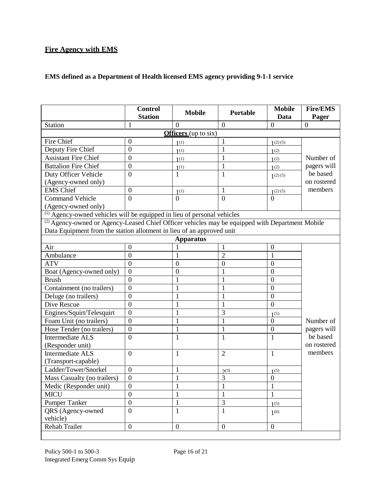## **Fire Agency with EMS**

### **EMS defined as a Department of Health licensed EMS agency providing 9-1-1 service**

|                                                                                                            | <b>Control</b><br><b>Station</b> | <b>Mobile</b>               | Portable         | <b>Mobile</b><br>Data | <b>Fire/EMS</b><br>Pager |  |
|------------------------------------------------------------------------------------------------------------|----------------------------------|-----------------------------|------------------|-----------------------|--------------------------|--|
| <b>Station</b>                                                                                             | $\mathbf 1$                      | 0                           | $\overline{0}$   | $\mathbf{0}$          | $\mathbf{0}$             |  |
|                                                                                                            |                                  | <b>Officers</b> (up to six) |                  |                       |                          |  |
| Fire Chief                                                                                                 | $\mathbf{0}$                     | 1(1)                        | 1                | 1(2)(5)               |                          |  |
| Deputy Fire Chief                                                                                          | $\mathbf{0}$                     | 1(1)                        | $\mathbf{1}$     | 1(2)                  |                          |  |
| <b>Assistant Fire Chief</b>                                                                                | $\overline{0}$                   | 1(1)                        | $\mathbf{1}$     | 1(2)                  | Number of                |  |
| <b>Battalion Fire Chief</b>                                                                                | $\overline{0}$                   | 1 <sup>(1)</sup>            | 1                | 1 <sup>(2)</sup>      | pagers will              |  |
| Duty Officer Vehicle                                                                                       | $\overline{0}$                   | 1                           | $\mathbf{1}$     | 1(2)(5)               | be based                 |  |
| (Agency-owned only)                                                                                        |                                  |                             |                  |                       | on rostered              |  |
| <b>EMS</b> Chief                                                                                           | $\mathbf{0}$                     | 1(1)                        | 1                | 1(2)(5)               | members                  |  |
| Command Vehicle                                                                                            | $\overline{0}$                   | $\boldsymbol{0}$            | $\overline{0}$   | $\overline{0}$        |                          |  |
| (Agency-owned only)                                                                                        |                                  |                             |                  |                       |                          |  |
| <sup>(1)</sup> Agency-owned vehicles will be equipped in lieu of personal vehicles                         |                                  |                             |                  |                       |                          |  |
| <sup>(2)</sup> Agency-owned or Agency-Leased Chief Officer vehicles may be equipped with Department Mobile |                                  |                             |                  |                       |                          |  |
| Data Equipment from the station allotment in lieu of an approved unit                                      |                                  |                             |                  |                       |                          |  |
|                                                                                                            |                                  | <b>Apparatus</b>            |                  |                       |                          |  |
| Air                                                                                                        | $\overline{0}$                   |                             | 1                | $\mathbf{0}$          |                          |  |
| Ambulance                                                                                                  | $\overline{0}$                   | 1                           | $\overline{2}$   | 1                     |                          |  |
| <b>ATV</b>                                                                                                 | $\overline{0}$                   | $\boldsymbol{0}$            | $\mathbf{0}$     | $\mathbf{0}$          |                          |  |
| Boat (Agency-owned only)                                                                                   | $\mathbf{0}$                     | $\mathbf{0}$                |                  | $\overline{0}$        |                          |  |
| <b>Brush</b>                                                                                               | $\mathbf{0}$                     | $\mathbf{1}$                |                  | $\overline{0}$        |                          |  |
| Containment (no trailers)                                                                                  | $\mathbf{0}$                     | 1                           | 1                | $\overline{0}$        |                          |  |
| Deluge (no trailers)                                                                                       | $\overline{0}$                   | $\mathbf{1}$                | 1                | $\overline{0}$        |                          |  |
| Dive Rescue                                                                                                | $\overline{0}$                   | $\mathbf{1}$                | $\mathbf{1}$     | $\overline{0}$        |                          |  |
| Engines/Squirt/Telesquirt                                                                                  | $\overline{0}$                   | 1                           | 3                | $1^{(5)}$             |                          |  |
| Foam Unit (no trailers)                                                                                    | $\mathbf{0}$                     | $\mathbf{1}$                | $\mathbf{1}$     | $\overline{0}$        | Number of                |  |
| Hose Tender (no trailers)                                                                                  | $\boldsymbol{0}$                 | $\mathbf{1}$                | $\mathbf{1}$     | $\mathbf{0}$          | pagers will              |  |
| <b>Intermediate ALS</b>                                                                                    | $\overline{0}$                   | $\mathbf{1}$                | $\mathbf{1}$     | $\mathbf{1}$          | be based                 |  |
| (Responder unit)                                                                                           |                                  |                             |                  |                       | on rostered              |  |
| Intermediate ALS                                                                                           | $\overline{0}$                   | $\mathbf{1}$                | $\overline{2}$   | $\mathbf{1}$          | members                  |  |
| (Transport-capable)                                                                                        |                                  |                             |                  |                       |                          |  |
| Ladder/Tower/Snorkel                                                                                       | $\mathbf{0}$                     | $\mathbf{1}$                | 2 <sup>(3)</sup> | $1^{(5)}$             |                          |  |
| Mass Casualty (no trailers)                                                                                | $\overline{0}$                   | $\mathbf{1}$                | 3                | $\boldsymbol{0}$      |                          |  |
| Medic (Responder unit)                                                                                     | $\boldsymbol{0}$                 | $\mathbf{1}$                | $\mathbf{1}$     | $\mathbf{1}$          |                          |  |
| <b>MICU</b>                                                                                                | $\overline{0}$                   | $\mathbf{1}$                | $\mathbf{1}$     | 1                     |                          |  |
| <b>Pumper Tanker</b>                                                                                       | $\boldsymbol{0}$                 | 1                           | $\mathfrak{Z}$   | 1(5)                  |                          |  |
| QRS (Agency-owned                                                                                          | $\boldsymbol{0}$                 | $\mathbf{1}$                | $\mathbf{1}$     | $1^{(6)}$             |                          |  |
| vehicle)                                                                                                   |                                  |                             |                  |                       |                          |  |
| Rehab Trailer                                                                                              | $\overline{0}$                   | $\mathbf{0}$                | $\boldsymbol{0}$ | $\overline{0}$        |                          |  |
|                                                                                                            |                                  |                             |                  |                       |                          |  |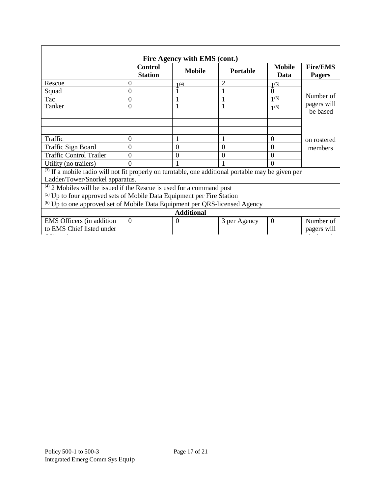| Fire Agency with EMS (cont.)                                                                       |                                                                            |                  |                 |                       |                                  |  |  |
|----------------------------------------------------------------------------------------------------|----------------------------------------------------------------------------|------------------|-----------------|-----------------------|----------------------------------|--|--|
|                                                                                                    | <b>Control</b><br><b>Station</b>                                           | <b>Mobile</b>    | <b>Portable</b> | <b>Mobile</b><br>Data | <b>Fire/EMS</b><br><b>Pagers</b> |  |  |
| Rescue                                                                                             | $\Omega$                                                                   | 1(4)             | 2               | 1(5)                  |                                  |  |  |
| Squad                                                                                              | $\overline{0}$                                                             |                  |                 | $\Omega$              | Number of                        |  |  |
| Tac                                                                                                | 0                                                                          |                  |                 | $1^{(5)}$             | pagers will                      |  |  |
| Tanker                                                                                             | $\overline{0}$                                                             |                  |                 | 1(5)                  | be based                         |  |  |
|                                                                                                    |                                                                            |                  |                 |                       |                                  |  |  |
| Traffic                                                                                            | $\overline{0}$                                                             |                  |                 | $\Omega$              | on rostered                      |  |  |
| <b>Traffic Sign Board</b>                                                                          | $\boldsymbol{0}$                                                           | $\boldsymbol{0}$ | $\Omega$        | $\theta$              | members                          |  |  |
| <b>Traffic Control Trailer</b>                                                                     | $\overline{0}$                                                             | $\theta$         | 0               | $\Omega$              |                                  |  |  |
| Utility (no trailers)                                                                              | $\theta$                                                                   |                  |                 | $\Omega$              |                                  |  |  |
| (3) If a mobile radio will not fit properly on turntable, one additional portable may be given per |                                                                            |                  |                 |                       |                                  |  |  |
| Ladder/Tower/Snorkel apparatus.                                                                    |                                                                            |                  |                 |                       |                                  |  |  |
|                                                                                                    | $^{(4)}$ 2 Mobiles will be issued if the Rescue is used for a command post |                  |                 |                       |                                  |  |  |
| <sup>(5)</sup> Up to four approved sets of Mobile Data Equipment per Fire Station                  |                                                                            |                  |                 |                       |                                  |  |  |
| <sup>(6)</sup> Up to one approved set of Mobile Data Equipment per QRS-licensed Agency             |                                                                            |                  |                 |                       |                                  |  |  |
| <b>Additional</b>                                                                                  |                                                                            |                  |                 |                       |                                  |  |  |
| <b>EMS</b> Officers (in addition                                                                   | $\Omega$                                                                   | $\theta$         | 3 per Agency    | $\theta$              | Number of                        |  |  |
| to EMS Chief listed under                                                                          |                                                                            |                  |                 |                       | pagers will                      |  |  |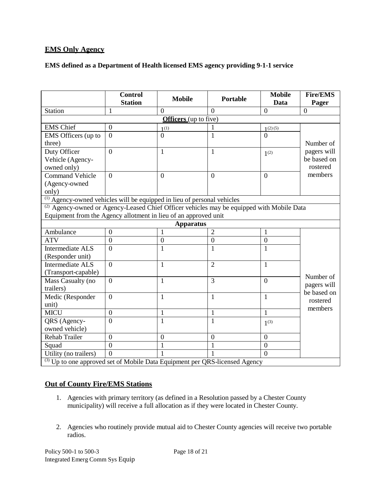### **EMS Only Agency**

### **EMS defined as a Department of Health licensed EMS agency providing 9-1-1 service**

|                                                                                                      | <b>Control</b><br><b>Station</b> | <b>Mobile</b>                | Portable       | <b>Mobile</b><br>Data | <b>Fire/EMS</b><br>Pager                |  |
|------------------------------------------------------------------------------------------------------|----------------------------------|------------------------------|----------------|-----------------------|-----------------------------------------|--|
| Station                                                                                              | 1                                | $\Omega$                     | $\Omega$       | $\boldsymbol{0}$      | $\overline{0}$                          |  |
|                                                                                                      |                                  | <b>Officers</b> (up to five) |                |                       |                                         |  |
| <b>EMS</b> Chief                                                                                     | $\overline{0}$                   | 1 <sup>(1)</sup>             |                | 1(2)(5)               |                                         |  |
| EMS Officers (up to<br>three)                                                                        | $\theta$                         | $\theta$                     | 1              | $\theta$              | Number of                               |  |
| Duty Officer<br>Vehicle (Agency-<br>owned only)                                                      | $\Omega$                         | $\mathbf{1}$                 | 1              | $1^{(2)}$             | pagers will<br>be based on<br>rostered  |  |
| <b>Command Vehicle</b><br>(Agency-owned<br>only)                                                     | $\overline{0}$                   | $\overline{0}$               | $\overline{0}$ | $\boldsymbol{0}$      | members                                 |  |
| <sup>(1)</sup> Agency-owned vehicles will be equipped in lieu of personal vehicles                   |                                  |                              |                |                       |                                         |  |
| <sup>(2)</sup> Agency-owned or Agency-Leased Chief Officer vehicles may be equipped with Mobile Data |                                  |                              |                |                       |                                         |  |
| Equipment from the Agency allotment in lieu of an approved unit                                      |                                  |                              |                |                       |                                         |  |
|                                                                                                      |                                  | <b>Apparatus</b>             |                |                       |                                         |  |
| Ambulance                                                                                            | $\mathbf{0}$                     | $\mathbf{1}$                 | $\overline{2}$ | $\mathbf{1}$          |                                         |  |
| <b>ATV</b>                                                                                           | $\overline{0}$                   | $\overline{0}$               | $\overline{0}$ | $\mathbf{0}$          |                                         |  |
| Intermediate ALS<br>(Responder unit)                                                                 | $\theta$                         | $\mathbf{1}$                 | 1              | 1                     |                                         |  |
| Intermediate ALS<br>(Transport-capable)                                                              | $\Omega$                         | $\mathbf{1}$                 | $\overline{2}$ | $\mathbf{1}$          |                                         |  |
| Mass Casualty (no<br>trailers)                                                                       | $\Omega$                         | $\mathbf{1}$                 | $\overline{3}$ | $\overline{0}$        | Number of<br>pagers will<br>be based on |  |
| Medic (Responder<br>unit)                                                                            | $\overline{0}$                   | $\mathbf{1}$                 | $\mathbf{1}$   | $\mathbf{1}$          | rostered<br>members                     |  |
| <b>MICU</b>                                                                                          | $\overline{0}$                   | 1                            | 1              | $\mathbf{1}$          |                                         |  |
| QRS (Agency-<br>owned vehicle)                                                                       | $\overline{0}$                   | $\mathbf{1}$                 | 1              | $1^{(3)}$             |                                         |  |
| <b>Rehab Trailer</b>                                                                                 | $\overline{0}$                   | $\mathbf{0}$                 | $\mathbf{0}$   | $\boldsymbol{0}$      |                                         |  |
| Squad                                                                                                | $\Omega$                         | 1                            | 1              | $\mathbf{0}$          |                                         |  |
| Utility (no trailers)                                                                                | $\theta$                         |                              |                | $\theta$              |                                         |  |
| <sup>(3)</sup> Up to one approved set of Mobile Data Equipment per QRS-licensed Agency               |                                  |                              |                |                       |                                         |  |

### **Out of County Fire/EMS Stations**

- 1. Agencies with primary territory (as defined in a Resolution passed by a Chester County municipality) will receive a full allocation as if they were located in Chester County.
- 2. Agencies who routinely provide mutual aid to Chester County agencies will receive two portable radios.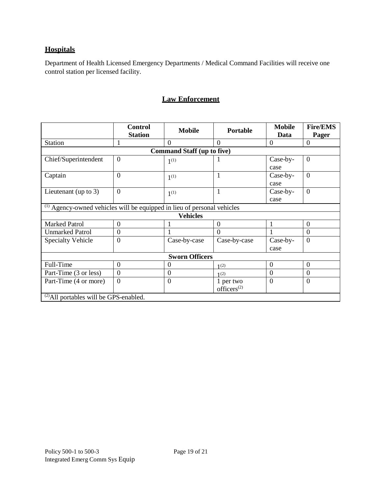## **Hospitals**

Department of Health Licensed Emergency Departments / Medical Command Facilities will receive one control station per licensed facility.

## **Law Enforcement**

<span id="page-18-0"></span>

|                                                                                    | <b>Control</b> |                                   | <b>Portable</b>         | <b>Mobile</b>  | <b>Fire/EMS</b> |  |
|------------------------------------------------------------------------------------|----------------|-----------------------------------|-------------------------|----------------|-----------------|--|
|                                                                                    | <b>Station</b> | <b>Mobile</b>                     |                         | Data           | Pager           |  |
| <b>Station</b>                                                                     | 1              | $\theta$                          | $\theta$                | $\overline{0}$ | $\overline{0}$  |  |
|                                                                                    |                | <b>Command Staff (up to five)</b> |                         |                |                 |  |
| Chief/Superintendent                                                               | $\theta$       | 1 <sup>(1)</sup>                  |                         | Case-by-       | $\overline{0}$  |  |
|                                                                                    |                |                                   |                         | case           |                 |  |
| Captain                                                                            | $\theta$       | $1^{(1)}$                         | $\mathbf{1}$            | Case-by-       | $\Omega$        |  |
|                                                                                    |                |                                   |                         | case           |                 |  |
| Lieutenant (up to $3$ )                                                            | $\theta$       | 1 <sup>(1)</sup>                  | 1                       | Case-by-       | $\overline{0}$  |  |
|                                                                                    |                |                                   |                         | case           |                 |  |
| <sup>(1)</sup> Agency-owned vehicles will be equipped in lieu of personal vehicles |                |                                   |                         |                |                 |  |
|                                                                                    |                | <b>Vehicles</b>                   |                         |                |                 |  |
| <b>Marked Patrol</b>                                                               | $\theta$       |                                   | $\overline{0}$          | 1              | $\overline{0}$  |  |
| <b>Unmarked Patrol</b>                                                             | $\theta$       | 1                                 | $\overline{0}$          |                | $\Omega$        |  |
| <b>Specialty Vehicle</b>                                                           | $\theta$       | Case-by-case                      | Case-by-case            | Case-by-       | $\overline{0}$  |  |
|                                                                                    |                |                                   |                         | case           |                 |  |
| <b>Sworn Officers</b>                                                              |                |                                   |                         |                |                 |  |
| Full-Time                                                                          | $\theta$       | 0                                 | 1(2)                    | $\overline{0}$ | $\overline{0}$  |  |
| Part-Time (3 or less)                                                              | $\theta$       | $\theta$                          | 1(2)                    | $\overline{0}$ | $\overline{0}$  |  |
| Part-Time (4 or more)                                                              | $\theta$       | $\theta$                          | 1 per two               | $\overline{0}$ | $\overline{0}$  |  |
|                                                                                    |                |                                   | officers <sup>(2)</sup> |                |                 |  |
| <sup>(2)</sup> All portables will be GPS-enabled.                                  |                |                                   |                         |                |                 |  |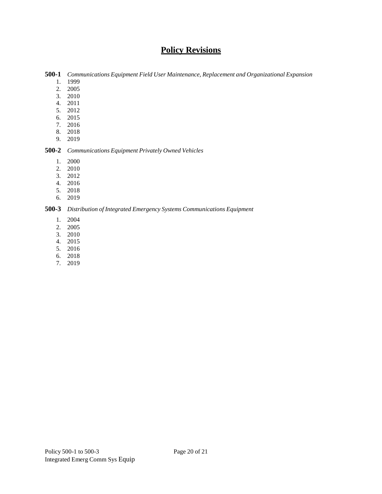# **Policy Revisions**

<span id="page-19-0"></span>**500-1** *Communications Equipment Field User Maintenance, Replacement and Organizational Expansion*

- 1. 1999
- 2. 2005
- 3. 2010
- 4. 2011
- 5. 2012
- 6. 2015
- 7. 2016
- 8. 2018
- 9. 2019

### **500-2** *Communications Equipment Privately Owned Vehicles*

- 1. 2000
- 2. 2010
- 3. 2012
- 4. 2016
- 5. 2018
- 6. 2019

### **500-3** *Distribution of Integrated Emergency Systems Communications Equipment*

- 1. 2004
- 2. 2005
- 3. 2010
- 4. 2015
- 5. 2016
- 6. 2018
- 7. 2019